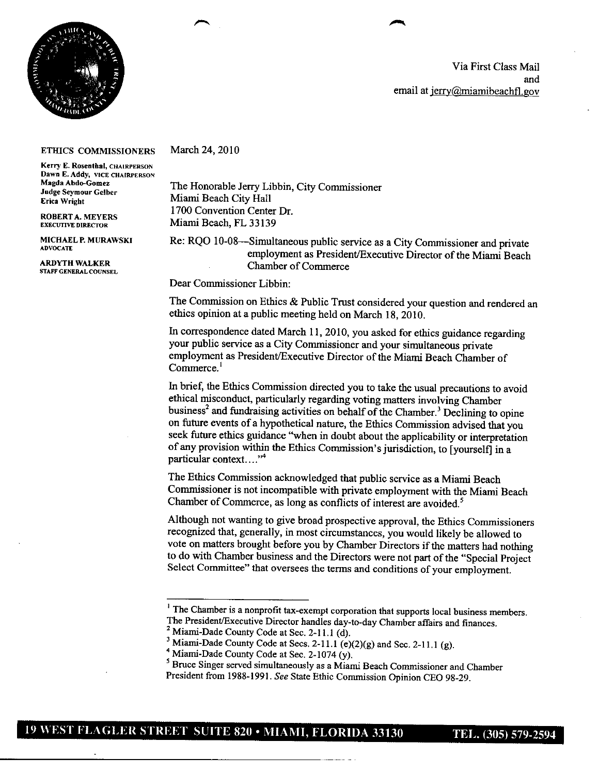

Via First Class Mail and email at jerry@miamibeachfl.gov

## **ETHICS COMMISSIONERS**

**Kerry E. Rosenthal, CHAIRPERSON Dawn E. Addy, VICE** CHAIRPERSON **Judge Seymour Celber**

**ROBERTA. MEYERS**<br>**EXECUTIVE DIRECTOR** 

**STAFF GENERAL COUNSEL**

March 24, 2010

The Honorable Jerry Libbin, City Commissioner **Miami Beach City Hall** 1700 Convention Center Dr. **Miami Beach, FL 33139** 

MICHAEL P. MURAWSKI Re: RQO 10-08—Simultaneous public service as a City Commissioner and private ADVOCATE<br> **ARDYTH WALKER** employment as President/Executive Director of the Miami Beach<br>
Chamber of Commerce **Chamber of Commerce** 

Dear Commissioner Libbin:

The Commission on Ethics & Public Trust considered your question and rendered an ethics opinion at a public meeting held on March 18, 2010.

In correspondence dated March 11, 2010, you asked for ethics guidance regarding your public service as a City Commissioner and your simultaneous private employment as President/Executive Director of the Miami Beach Chamber of Commerce.<sup>1</sup>

In brief, the Ethics Commission directed you to take the usual precautions to avoid ethical misconduct, particularly regarding voting matters involving Chamber business<sup>2</sup> and fundraising activities on behalf of the Chamber.<sup>3</sup> Declining to opine on future events of a hypothetical nature, the Ethics Commission advised that you seek future ethics guidance "when in doubt about the applicability or interpretation of any provision within the Ethics Commission's jurisdiction, to [yourself] in a particular context..."<sup>4</sup>

The Ethics Commission acknowledged that public service as a Miami Beach Commissioner is not incompatible with private employment with the Miami Beach Chamber of Commerce, as long as conflicts of interest are avoided.<sup>5</sup>

Although not wanting to give broad prospective approval, the Ethics Commissioners recognized that, generally, in most circumstances, you would likely be allowed to vote on matters brought before you by Chamber Directors if the matters had nothing to do with Chamber business and the Directors were not part of the "Special Project Select Committee" that oversees the terms and conditions of your employment.

<sup>&</sup>lt;sup>1</sup> The Chamber is a nonprofit tax-exempt corporation that supports local business members. The President/Executive Director handles day-to-day Chamber affairs and finances.

<sup>&</sup>lt;sup>2</sup> Miami-Dade County Code at Sec.  $2-11.1$  (d).

<sup>&</sup>lt;sup>3</sup> Miami-Dade County Code at Secs. 2-11.1 (e)(2)(g) and Sec. 2-11.1 (g).

 $4$  Miami-Dade County Code at Sec. 2-1074 (y).

<sup>&</sup>lt;sup>5</sup> Bruce Singer served simultaneously as a Miami Beach Commissioner and Chamber President from 1988-1991. See State Ethic Commission Opinion CEO 98-29.